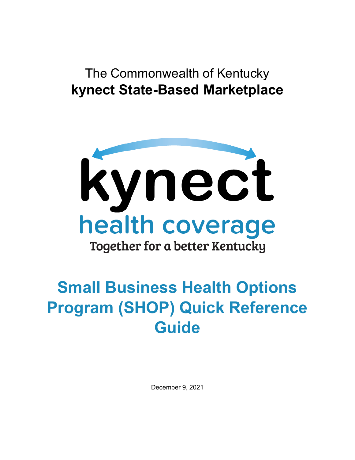# The Commonwealth of Kentucky **kynect State-Based Marketplace**



# **Small Business Health Options Program (SHOP) Quick Reference Guide**

December 9, 2021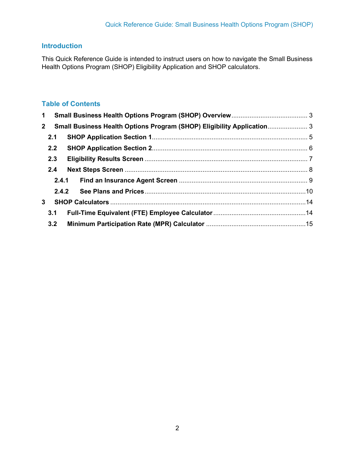# **Introduction**

This Quick Reference Guide is intended to instruct users on how to navigate the Small Business Health Options Program (SHOP) Eligibility Application and SHOP calculators.

# **Table of Contents**

| $\mathbf 1$  |       |                                                                        |  |
|--------------|-------|------------------------------------------------------------------------|--|
| $\mathbf{2}$ |       | Small Business Health Options Program (SHOP) Eligibility Application 3 |  |
|              | 2.1   |                                                                        |  |
|              | 2.2   |                                                                        |  |
|              | 2.3   |                                                                        |  |
|              | 2.4   |                                                                        |  |
|              |       | 2.4.1                                                                  |  |
|              | 2.4.2 |                                                                        |  |
| $\mathbf{3}$ |       |                                                                        |  |
|              | 3.1   |                                                                        |  |
|              | 3.2   |                                                                        |  |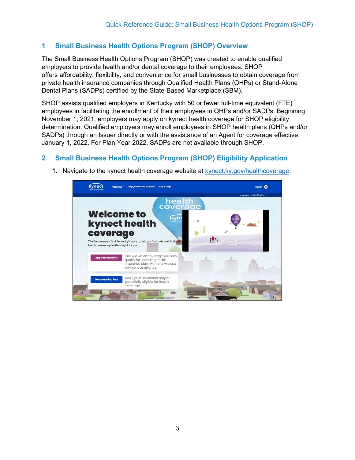### <span id="page-2-0"></span>**1 Small Business Health Options Program (SHOP) Overview**

The Small Business Health Options Program (SHOP) was created to enable qualified employers to provide health and/or dental coverage to their employees. SHOP offers affordability, flexibility, and convenience for small businesses to obtain coverage from private health insurance companies through Qualified Health Plans (QHPs) or Stand-Alone Dental Plans (SADPs) certified by the State-Based Marketplace (SBM).

SHOP assists qualified employers in Kentucky with 50 or fewer full-time equivalent (FTE) employees in facilitating the enrollment of their employees in QHPs and/or SADPs. Beginning November 1, 2021, employers may apply on kynect health coverage for SHOP eligibility determination. Qualified employers may enroll employees in SHOP health plans (QHPs and/or SADPs) through an Issuer directly or with the assistance of an Agent for coverage effective January 1, 2022. For Plan Year 2022, SADPs are not available through SHOP.

## <span id="page-2-1"></span>**2 Small Business Health Options Program (SHOP) Eligibility Application**



1. Navigate to the kynect health coverage website at [kynect.ky.gov/healthcoverage.](https://kynect.ky.gov/healthcoverage)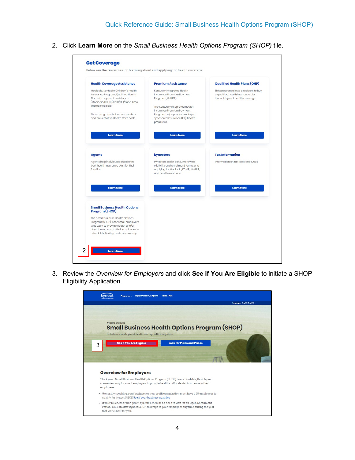2. Click **Learn More** on the *Small Business Health Options Program (SHOP)* tile.



3. Review the *Overview for Employers* and click **See if You Are Eligible** to initiate a SHOP Eligibility Application.

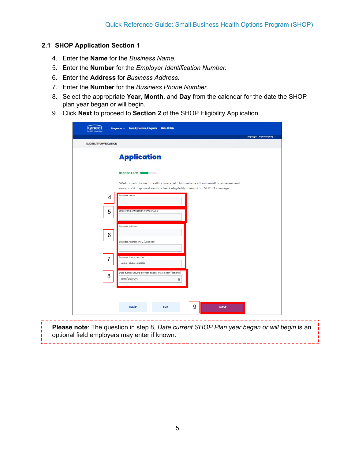#### <span id="page-4-0"></span>**2.1 SHOP Application Section 1**

- 4. Enter the **Name** for the *Business Name*.
- 5. Enter the **Number** for the *Employer Identification Number.*
- 6. Enter the **Address** for *Business Address.*
- 7. Enter the **Number** for the *Business Phone Number.*
- 8. Select the appropriate **Year, Month,** and **Day** from the calendar for the date the SHOP plan year began or will begin.
- 9. Click **Next** to proceed to **Section 2** of the SHOP Eligibility Application.

| <b>ELIGIBILITY APPLICATION</b> |   |                                                                                                                                                          | Languages: English (English) v |
|--------------------------------|---|----------------------------------------------------------------------------------------------------------------------------------------------------------|--------------------------------|
|                                |   |                                                                                                                                                          |                                |
|                                |   | <b>Application</b>                                                                                                                                       |                                |
|                                |   | Section 1 of 2                                                                                                                                           |                                |
|                                |   | Welcome to kynect health coverage! This website allows small businesses and<br>non-profit organizations to check eligibility to enroll in SHOP Coverage. |                                |
|                                | 4 | <b>Business Name</b>                                                                                                                                     |                                |
|                                | 5 | Employer Identification Number (EIN)                                                                                                                     |                                |
|                                |   | <b>Business Address</b>                                                                                                                                  |                                |
|                                | 6 | Business Address line 2 (Optional)                                                                                                                       |                                |
|                                | 7 | <b>Business Phone Number</b>                                                                                                                             |                                |
|                                |   | ###-###-####<br>Date current SHOP plan year began, or will begin (optional)                                                                              |                                |
|                                | 8 | mm/dd/yyyy<br>笛                                                                                                                                          |                                |
|                                |   |                                                                                                                                                          |                                |
|                                |   | 9<br><b>Back</b><br>Exit                                                                                                                                 | <b>Next</b>                    |

optional field employers may enter if known.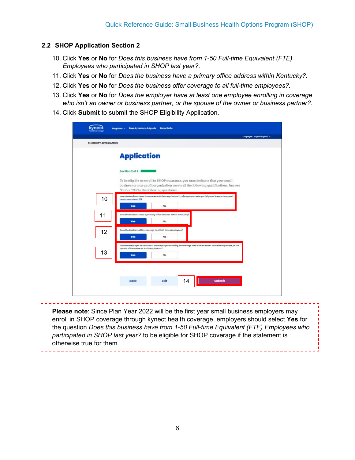#### <span id="page-5-0"></span>**2.2 SHOP Application Section 2**

- 10. Click **Yes** or **No** for *Does this business have from 1-50 Full-time Equivalent (FTE) Employees who participated in SHOP last year?*.
- 11. Click **Yes** or **No** for *Does the business have a primary office address within Kentucky?.*
- 12. Click **Yes** or **No** for *Does the business offer coverage to all full-time employees?.*
- 13. Click **Yes** or **No** for *Does the employer have at least one employee enrolling in coverage who isn't an owner or business partner, or the spouse of the owner or business partner?.*
- 14. Click **Submit** to submit the SHOP Eligibility Application.

|    | <b>Application</b>                                                                                                                                                                                               |  |
|----|------------------------------------------------------------------------------------------------------------------------------------------------------------------------------------------------------------------|--|
|    | Section 2 of 2                                                                                                                                                                                                   |  |
|    | To be eligible to enroll in SHOP insurance, you must indicate that your small<br>business or non-profit organization meets all the following qualifications. Answer<br>"Yes" or "No" to the following questions: |  |
| 10 | Deas the business have from t to 60 ruli-time squivalent (FTE) employees who participated in SHOP last year?<br>Learn more about FTE<br>No<br><b>Yes</b>                                                         |  |
| 11 | Deas the business have a primary effice address within Kentucky?<br><b>Yes</b><br>No                                                                                                                             |  |
| 12 | Dees the business effer coverage to ellfull-time employees?<br>Yes:<br>No                                                                                                                                        |  |
| 13 | Does the employer have at least one employee enrolling in coverage who lan't an owner or business partner, or the<br>spouse of the ewner or business partner?<br>Yes:<br>No                                      |  |
|    |                                                                                                                                                                                                                  |  |
|    | 14<br><b>Submit</b><br>Exit<br>Back                                                                                                                                                                              |  |

**Please note**: Since Plan Year 2022 will be the first year small business employers may enroll in SHOP coverage through kynect health coverage, employers should select **Yes** for the question *Does this business have from 1-50 Full-time Equivalent (FTE) Employees who participated in SHOP last year?* to be eligible for SHOP coverage if the statement is otherwise true for them.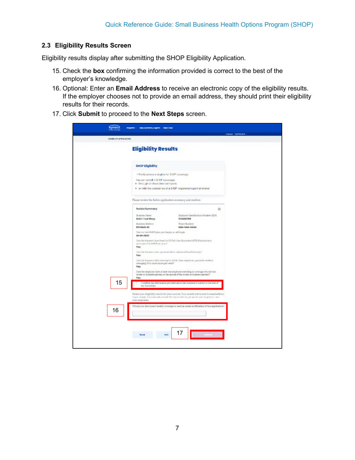#### <span id="page-6-0"></span>**2.3 Eligibility Results Screen**

Eligibility results display after submitting the SHOP Eligibility Application.

- 15. Check the **box** confirming the information provided is correct to the best of the employer's knowledge.
- 16. Optional: Enter an **Email Address** to receive an electronic copy of the eligibility results. If the employer chooses not to provide an email address, they should print their eligibility results for their records.
- 17. Click **Submit** to proceed to the **Next Steps** screen.

| <b>ILEGATYA-FACATION</b>         |                                                                                                                                                                                             |                                       |  |
|----------------------------------|---------------------------------------------------------------------------------------------------------------------------------------------------------------------------------------------|---------------------------------------|--|
|                                  | <b>Eligibility Results</b>                                                                                                                                                                  |                                       |  |
| <b>SHOP Eligibility</b>          |                                                                                                                                                                                             |                                       |  |
|                                  | . The business is eligible for \$HOP coverage.                                                                                                                                              |                                       |  |
|                                  | You can enroll in SHOP coverage:<br>. through on insurance company                                                                                                                          |                                       |  |
|                                  | . or with the cassitance of a SHOP registered opent or broker                                                                                                                               |                                       |  |
|                                  | Please review the below application remmary and confirm                                                                                                                                     |                                       |  |
| <b>Review Summary</b>            |                                                                                                                                                                                             | ø                                     |  |
| Business Name<br>Robis Tool Shop | 120315-0789                                                                                                                                                                                 | Traployer Identification Number (EES) |  |
| Rodney Address<br>123 Main 31    | <b>Phone Humber</b><br>506-556-5556                                                                                                                                                         |                                       |  |
| $01 - 01 - 2022$                 | Date current SI-80P plan year hegins, or will begin                                                                                                                                         |                                       |  |
| <b>Yes</b>                       | Danc the business have from 111.50 Pub time Register (FTR) Employees or<br>participated to EHDP tail year?                                                                                  |                                       |  |
| <b>Yes</b>                       | Does the forcining have a primary office address within formulay?                                                                                                                           |                                       |  |
| Yes:                             | Does the business offer coverage basil full-time employees, quantally workers<br>arenaging 30 to more hours per vreelo?                                                                     |                                       |  |
| Yes:                             | Does the simpleyer have at least true employee statelling in coverage who find an<br>owner or business partner, or the spouse of the owner or business partner?                             |                                       |  |
| 15<br>my knowledge.              | I confirm the information provided about this business is correct to the best of                                                                                                            |                                       |  |
| усаг готровлял.                  | Betain your eligibility results for your records. Your results will be sent to email eddress<br>if you choose, if you obtaint provide the excit addition, pie are because to print or cave. |                                       |  |
| 16                               | Would you like kynect health coverage to tend an email notification of this application?                                                                                                    |                                       |  |
|                                  |                                                                                                                                                                                             |                                       |  |
|                                  | 17                                                                                                                                                                                          |                                       |  |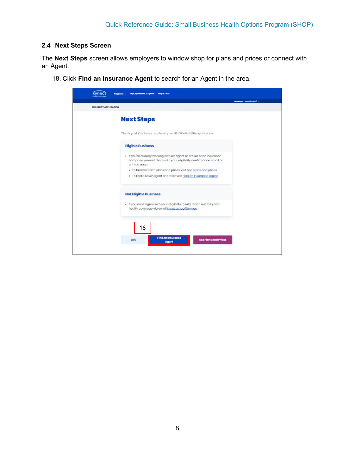#### <span id="page-7-0"></span>**2.4 Next Steps Screen**

The **Next Steps** screen allows employers to window shop for plans and prices or connect with an Agent.

18. Click **Find an Insurance Agent** to search for an Agent in the area.

| <b>ELIGIBILITY APPLICATION</b>                                                                                                                             | temperature tradictification) - |
|------------------------------------------------------------------------------------------------------------------------------------------------------------|---------------------------------|
| <b>Next Steps</b>                                                                                                                                          |                                 |
| Thank you! You have completed your SHOP eligibility application.                                                                                           |                                 |
| <b>Eligible Business</b>                                                                                                                                   |                                 |
| . If you're aireacly working with an agent or broker or an insurance<br>company, present them with your eligibility confirmation email or<br>printed page. |                                 |
| . To browse SHOP plans and prices visit See plans and prices<br>. To find a SHOP agent or broker visit Find an Insurance agent                             |                                 |
| <b>Not Eligible Business</b>                                                                                                                               |                                 |
| . If you don't agree with your eligibility results reach out to kynect<br>health coverage via email kynect shop@ky.gov.                                    |                                 |
| 18                                                                                                                                                         |                                 |
| <b>Find an Insurance</b><br><b>See Plans and Prices</b><br>Exit                                                                                            |                                 |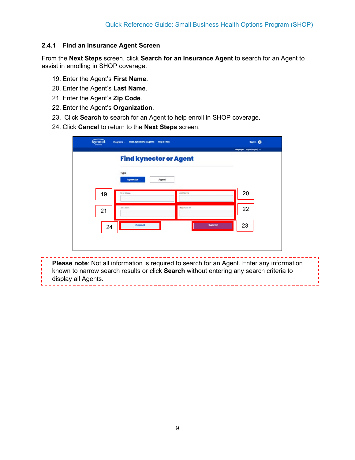#### <span id="page-8-0"></span>**2.4.1 Find an Insurance Agent Screen**

From the **Next Steps** screen, click **Search for an Insurance Agent** to search for an Agent to assist in enrolling in SHOP coverage.

- 19. Enter the Agent's **First Name**.
- 20. Enter the Agent's **Last Name**.
- 21. Enter the Agent's **Zip Code**.
- 22. Enter the Agent's **Organization**.
- 23. Click **Search** to search for an Agent to help enroll in SHOP coverage.
- 24. Click **Cancel** to return to the **Next Steps** screen.

| kynect<br>Programs - Reps, kynectors, & Agents | <b>Help &amp; FAQs</b>        | Signan @                       |
|------------------------------------------------|-------------------------------|--------------------------------|
|                                                | <b>Find kynector or Agent</b> | temperature tradite(tradite) - |
| Туре<br>kynector                               | Agent                         |                                |
| 19<br>First Name                               | Lost Norma                    | 20                             |
| ZoCorio<br>21                                  | Organisation                  | 22                             |
| Cancel<br>24                                   | <b>Search</b>                 | 23                             |

**Please note**: Not all information is required to search for an Agent. Enter any information known to narrow search results or click **Search** without entering any search criteria to display all Agents.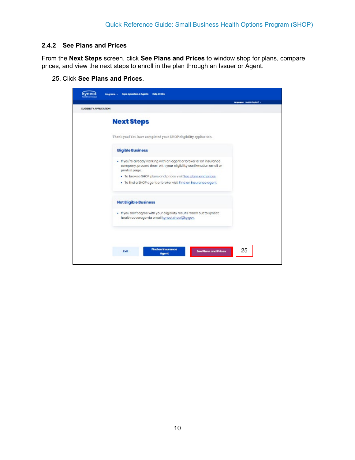#### <span id="page-9-0"></span>**2.4.2 See Plans and Prices**

From the **Next Steps** screen, click **See Plans and Prices** to window shop for plans, compare prices, and view the next steps to enroll in the plan through an Issuer or Agent.

25. Click **See Plans and Prices**.

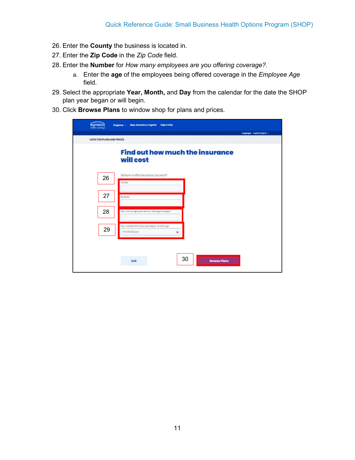- 26. Enter the **County** the business is located in.
- 27. Enter the **Zip Code** in the *Zip Code* field.
- 28. Enter the **Number** for *How many employees are you offering coverage?*.
	- a. Enter the **age** of the employees being offered coverage in the *Employee Age* field.
- 29. Select the appropriate **Year, Month,** and **Day** from the calendar for the date the SHOP plan year began or will begin.
- 30. Click **Browse Plans** to window shop for plans and prices.

| Programs - Reps, kynectors, & Agents<br><b>Help &amp; FAQs</b><br><b>Parameter Policienship</b><br>LOOK FOR PLANS AND PRICES       | tanganges: higher(higher) v. |
|------------------------------------------------------------------------------------------------------------------------------------|------------------------------|
| <b>Find out how much the insurance</b><br>will cost                                                                                |                              |
| Where is this business located?<br>26<br>County<br>27<br>Zio Code                                                                  |                              |
| 28<br>Row many employees are you offering coverage?<br>Dete current SHCP plan year begins or will begin.<br>29<br>mmfacilyyyy<br>畐 |                              |
| 30<br>Exit<br><b>Browse Plans</b>                                                                                                  |                              |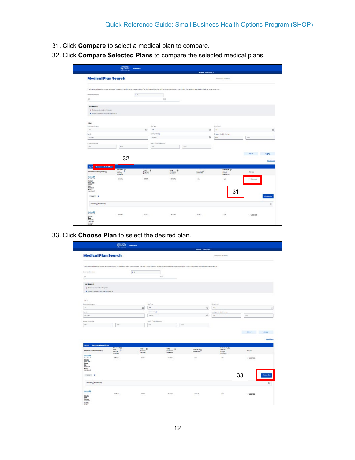- 31. Click **Compare** to select a medical plan to compare.
- 32. Click **Compare Selected Plans** to compare the selected medical plans.

|                                                                                          |                                                           |                                |                                                                                                                                                                                       | <b>Super Specialty</b>   |                                                               |                           |
|------------------------------------------------------------------------------------------|-----------------------------------------------------------|--------------------------------|---------------------------------------------------------------------------------------------------------------------------------------------------------------------------------------|--------------------------|---------------------------------------------------------------|---------------------------|
| <b>Medical Plan Search</b>                                                               |                                                           |                                |                                                                                                                                                                                       |                          | Passwicters (6/28/2021)                                       |                           |
|                                                                                          |                                                           |                                | The Phonisis must be available based on the information you provided. The final cast of the plan will be extermined when your group information is provided to the insurance company. |                          |                                                               |                           |
| Tepispie investors                                                                       |                                                           | 30                             |                                                                                                                                                                                       |                          |                                                               |                           |
| $\mathbb{Z}^n$<br>6G                                                                     |                                                           |                                | 1000<br>-                                                                                                                                                                             |                          |                                                               |                           |
| <b>Kentegend</b><br>T Discount Douglas Property<br>P Interested Pedicine Denot behalf to |                                                           |                                |                                                                                                                                                                                       |                          |                                                               |                           |
| <b>Filters</b>                                                                           |                                                           |                                |                                                                                                                                                                                       |                          |                                                               |                           |
| Investment Commercy<br>$\Delta R$                                                        |                                                           | New York<br>0<br>a             |                                                                                                                                                                                       | $\odot$                  | kinnel and<br>$\overline{a}$                                  |                           |
| Reid-                                                                                    |                                                           | o new intensity                |                                                                                                                                                                                       |                          | In salary Marsh & Practise's                                  |                           |
| Friter & I                                                                               |                                                           | <b>Branch</b>                  |                                                                                                                                                                                       | $\odot$                  | <b>MO</b>                                                     | May.                      |
| arrest Entertain                                                                         |                                                           | Sur-Drivales Messeum           |                                                                                                                                                                                       |                          |                                                               |                           |
| Mri                                                                                      | <b>Lion</b>                                               | ide.                           | Mex.                                                                                                                                                                                  |                          |                                                               |                           |
|                                                                                          |                                                           |                                |                                                                                                                                                                                       |                          |                                                               |                           |
|                                                                                          | 32                                                        |                                |                                                                                                                                                                                       |                          |                                                               | Clear<br>Apply            |
|                                                                                          |                                                           |                                |                                                                                                                                                                                       |                          |                                                               | <b>Mate Filippin</b>      |
| Compose Selected None<br><b>Dentil</b><br>insurance (anguary tiene (i)                   | <b>International</b><br>Tetel.<br><b>MANFWY</b><br>median | $-300$<br>Brightest<br>Premium | TIME.<br>$\circ$<br>Exployed<br>Frenigen                                                                                                                                              | inductorial)<br>seduntas | <b>Individual</b> (B)<br><b>Gund</b><br>ENRIGHT<br>seguineurs | Automa                    |
|                                                                                          |                                                           |                                |                                                                                                                                                                                       |                          |                                                               | company                   |
| Morte<br>Anthenium<br>$rac{60000}{100}$                                                  | 550064                                                    | 60.00                          | \$50.64                                                                                                                                                                               | 16/4                     | 4/4                                                           |                           |
| <b>2000003</b><br>acco na<br>ina livero<br>sent P                                        |                                                           |                                |                                                                                                                                                                                       |                          | 31                                                            |                           |
| <b>Sammery (artistician)</b>                                                             |                                                           |                                |                                                                                                                                                                                       |                          |                                                               | those rios<br>$\boxtimes$ |

33. Click **Choose Plan** to select the desired plan.

|                                                                        |                                                                                                                                                                                               |             |                             |                    |      | <b>Supra Specialist V</b>                            |                                                            |    |               |                    |
|------------------------------------------------------------------------|-----------------------------------------------------------------------------------------------------------------------------------------------------------------------------------------------|-------------|-----------------------------|--------------------|------|------------------------------------------------------|------------------------------------------------------------|----|---------------|--------------------|
| <b>Medical Plan Search</b>                                             |                                                                                                                                                                                               |             |                             |                    |      |                                                      | PatroleServ.10285201                                       |    |               |                    |
|                                                                        | To Promiums liched between extensive board on the information you provided. The final cast of the plan will be determined when your group information is provided by the infurnities company. |             |                             |                    |      |                                                      |                                                            |    |               |                    |
| Engineer Permitted                                                     | 3.0                                                                                                                                                                                           |             |                             |                    |      |                                                      |                                                            |    |               |                    |
| $\pm \pi$                                                              |                                                                                                                                                                                               |             | 1000                        |                    |      |                                                      |                                                            |    |               |                    |
| ßЪ                                                                     |                                                                                                                                                                                               |             |                             |                    |      |                                                      |                                                            |    |               |                    |
| <b>Kentegenz</b>                                                       |                                                                                                                                                                                               |             |                             |                    |      |                                                      |                                                            |    |               |                    |
| T. Dilense Drocks Proper-                                              |                                                                                                                                                                                               |             |                             |                    |      |                                                      |                                                            |    |               |                    |
| P : probabilization de l'original de la cartera                        |                                                                                                                                                                                               |             |                             |                    |      |                                                      |                                                            |    |               |                    |
|                                                                        |                                                                                                                                                                                               |             |                             |                    |      |                                                      |                                                            |    |               |                    |
| <b>Filters</b>                                                         |                                                                                                                                                                                               |             |                             |                    |      |                                                      |                                                            |    |               |                    |
| Inserting Company                                                      |                                                                                                                                                                                               |             | Next Year                   |                    |      |                                                      | Mend level.                                                |    |               |                    |
| M                                                                      |                                                                                                                                                                                               | $\circ$     | $^{24}$                     |                    |      | $\odot$                                              | $_{\rm{at}}$                                               |    |               | $\odot$            |
| Navid-<br>Ticky kit                                                    |                                                                                                                                                                                               |             | glew innega<br>Gobient      |                    |      | Ø.                                                   | To salarya Maral Is Promise a<br><b>Litry</b>              |    | kins.         |                    |
|                                                                        |                                                                                                                                                                                               |             |                             |                    |      |                                                      |                                                            |    |               |                    |
| Arrest Demonstrate                                                     |                                                                                                                                                                                               |             | Due Or Passion Mexicos Inc. |                    |      |                                                      |                                                            |    |               |                    |
| <b>Siles</b>                                                           | <b>Mon</b>                                                                                                                                                                                    |             | <b>Mr</b>                   |                    | Moir |                                                      |                                                            |    |               |                    |
|                                                                        |                                                                                                                                                                                               |             |                             |                    |      |                                                      |                                                            |    |               |                    |
|                                                                        |                                                                                                                                                                                               |             |                             |                    |      |                                                      |                                                            |    |               |                    |
|                                                                        |                                                                                                                                                                                               |             |                             |                    |      |                                                      |                                                            |    | Ciese         | <b>Apply</b>       |
|                                                                        |                                                                                                                                                                                               |             |                             |                    |      |                                                      |                                                            |    |               | <b>Bank Friday</b> |
|                                                                        |                                                                                                                                                                                               |             |                             |                    |      |                                                      |                                                            |    |               |                    |
| Export Company Soluctual Rane                                          |                                                                                                                                                                                               |             |                             |                    |      |                                                      |                                                            |    |               |                    |
| insurance Company times (2)                                            | <b>Information</b> (2)<br>Total:<br>œ<br>savevir                                                                                                                                              | $rac{1}{2}$ |                             | тия ©<br>Enalgying |      | $\frac{\text{induction}(\beta)}{\text{constrained}}$ | <b>Individual</b> (B)<br><b>Gun-</b> nd-<br><b>Freiser</b> |    | <b>Automa</b> |                    |
| Autom/04                                                               | monkey                                                                                                                                                                                        | Premium:    |                             | Promises           |      |                                                      | washinum                                                   |    |               |                    |
| *****                                                                  | 480054                                                                                                                                                                                        | 60.00       |                             | 95054              |      | 16/4                                                 | 4/4                                                        |    | $-$ compare   |                    |
|                                                                        |                                                                                                                                                                                               |             |                             |                    |      |                                                      |                                                            |    |               |                    |
| Anthony<br>Bing: Basi<br>Cantony<br>Chil<br><b>25060.3</b><br>drive by |                                                                                                                                                                                               |             |                             |                    |      |                                                      |                                                            |    |               |                    |
| Han (since)                                                            |                                                                                                                                                                                               |             |                             |                    |      |                                                      |                                                            |    |               |                    |
| sew p                                                                  |                                                                                                                                                                                               |             |                             |                    |      |                                                      |                                                            | 33 |               |                    |
| Sammery (artists and)                                                  |                                                                                                                                                                                               |             |                             |                    |      |                                                      |                                                            |    |               | $\boxtimes$        |
|                                                                        |                                                                                                                                                                                               |             |                             |                    |      |                                                      |                                                            |    |               |                    |
| Autora 04<br>*****                                                     | \$600.43                                                                                                                                                                                      | \$0.00      |                             | 503540             |      | \$1503                                               | $8/4$                                                      |    | C compara     |                    |
| Autor:<br>Babi<br>Balbaces                                             |                                                                                                                                                                                               |             |                             |                    |      |                                                      |                                                            |    |               |                    |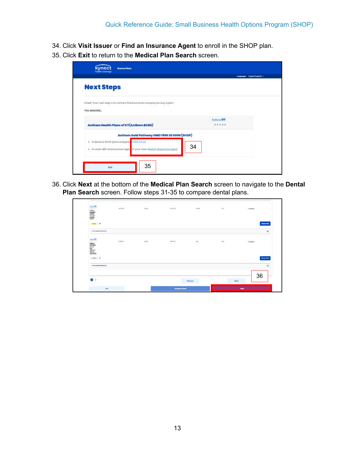- 34. Click **Visit Issuer** or **Find an Insurance Agent** to enroll in the SHOP plan.
- 35. Click **Exit** to return to the **Medical Plan Search** screen.

| <b>Next Steps</b>                                                        |                      |  |
|--------------------------------------------------------------------------|----------------------|--|
| Creat! Your next step is to contact the insurance company to buy a plon. |                      |  |
| You selected.                                                            |                      |  |
|                                                                          | Anthem <sup>OU</sup> |  |
| Anthem Health Plans of KY (Anthem BCBS)                                  | *****                |  |
| Anthem Gold Pathway HMO 1500 20 6000 (SHOP)                              |                      |  |
| . To browse SHCP plans and price Visit Issuer                            | 34                   |  |
| · To work with an insurance ager in your area find on insurance agent    |                      |  |

36. Click **Next** at the bottom of the **Medical Plan Search** screen to navigate to the **Dental Plan Search** screen. Follow steps 31-35 to compare dental plans.

| $\bullet$ :                                                                                                                                                                                                                                                                                                                                                                                                                                                                                                                                                                                                                                                                                                             |                                     |        |                             | Previous      |          | 36<br>Nuxt  |
|-------------------------------------------------------------------------------------------------------------------------------------------------------------------------------------------------------------------------------------------------------------------------------------------------------------------------------------------------------------------------------------------------------------------------------------------------------------------------------------------------------------------------------------------------------------------------------------------------------------------------------------------------------------------------------------------------------------------------|-------------------------------------|--------|-----------------------------|---------------|----------|-------------|
| Surrenery (in Network)                                                                                                                                                                                                                                                                                                                                                                                                                                                                                                                                                                                                                                                                                                  |                                     |        |                             |               |          | $\odot$     |
| $\begin{array}{l} \underline{\textbf{Scherm}}\\ \underline{\textbf{Stocess}}\\ \underline{\textbf{H}\textbf{coess}}\\ \underline{\textbf{H}\textbf{O}}\\ \underline{\textbf{H}\textbf{O}\textbf{H}\textbf{O}}\\ \underline{\textbf{H}\textbf{O}\textbf{H}\textbf{O}}\\ \underline{\textbf{H}\textbf{H}\textbf{H}\textbf{H}}\\ \underline{\textbf{H}\textbf{H}\textbf{H}\textbf{H}\textbf{O}}\\ \underline{\textbf{H}\textbf{H}\textbf{H}\textbf{H}\textbf{O}}\\ \underline{\textbf{H}\textbf{H}\textbf{H}\textbf{H}\textbf{O}}\\ \end{array$<br>Sher P                                                                                                                                                                  |                                     |        |                             |               |          | Choose Plan |
| $\frac{3\pi}{4}$                                                                                                                                                                                                                                                                                                                                                                                                                                                                                                                                                                                                                                                                                                        | <b>CONTRACTOR</b><br>3799.20<br>- - | s<br>w | <b>SAN KIND</b><br>\$999.29 | $\frac{N}{2}$ | $N/\tau$ | C Compare   |
| Summery (in Network)                                                                                                                                                                                                                                                                                                                                                                                                                                                                                                                                                                                                                                                                                                    |                                     |        |                             |               |          | $_{\odot}$  |
| note P                                                                                                                                                                                                                                                                                                                                                                                                                                                                                                                                                                                                                                                                                                                  |                                     |        |                             |               |          | Cheese Plan |
| $\begin{array}{l} \underline{Leftline} \\ \underline{Leftline} \\ \underline{See} \\ \underline{See} \\ \underline{see} \\ \underline{see} \\ \underline{See} \\ \underline{See} \\ \underline{See} \\ \underline{See} \\ \underline{See} \\ \underline{See} \\ \underline{See} \\ \underline{See} \\ \underline{See} \\ \underline{See} \\ \underline{See} \\ \underline{See} \\ \underline{See} \\ \underline{See} \\ \underline{See} \\ \underline{See} \\ \underline{See} \\ \underline{See} \\ \underline{See} \\ \underline{See} \\ \underline{See} \\ \underline{See} \\ \underline{See} \\ \underline{See} \\ \underline{See} \\ \underline{See} \\ \underline{See} \\ \underline{See} \\ \underline{See} \\ \$ |                                     |        |                             |               |          |             |
| $\frac{545}{0.0000}$                                                                                                                                                                                                                                                                                                                                                                                                                                                                                                                                                                                                                                                                                                    | \$1427.00                           | \$0.00 | \$14,27.00                  | \$1000        | N/L      | C Company   |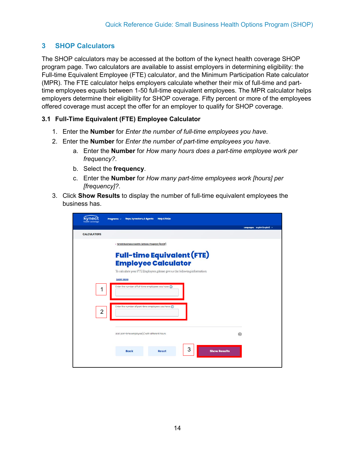## <span id="page-13-0"></span>**3 SHOP Calculators**

The SHOP calculators may be accessed at the bottom of the kynect health coverage SHOP program page. Two calculators are available to assist employers in determining eligibility: the Full-time Equivalent Employee (FTE) calculator, and the Minimum Participation Rate calculator (MPR). The FTE calculator helps employers calculate whether their mix of full-time and parttime employees equals between 1-50 full-time equivalent employees. The MPR calculator helps employers determine their eligibility for SHOP coverage. Fifty percent or more of the employees offered coverage must accept the offer for an employer to qualify for SHOP coverage.

#### <span id="page-13-1"></span>**3.1 Full-Time Equivalent (FTE) Employee Calculator**

- 1. Enter the **Number** for *Enter the number of full-time employees you have*.
- 2. Enter the **Number** for *Enter the number of part-time employees you have*.
	- a. Enter the **Number** for *How many hours does a part-time employee work per frequency?*.
	- b. Select the **frequency**.
	- c. Enter the **Number** for *How many part-time employees work [hours] per [frequency]?*.
- 3. Click **Show Results** to display the number of full-time equivalent employees the business has.

| kynec<br>health coverage | Reps, kynectors, & Agents<br>Programs v                                                  | <b>Help &amp; FAQs</b>                                                     |                     |                                |
|--------------------------|------------------------------------------------------------------------------------------|----------------------------------------------------------------------------|---------------------|--------------------------------|
|                          |                                                                                          |                                                                            |                     | Languages: English (English) v |
| <b>CALCULATORS</b>       |                                                                                          |                                                                            |                     |                                |
|                          | < Small Business Health Options Program (SHOP)                                           |                                                                            |                     |                                |
|                          |                                                                                          |                                                                            |                     |                                |
|                          |                                                                                          | <b>Full-time Equivalent (FTE)</b>                                          |                     |                                |
|                          |                                                                                          | <b>Employee Calculator</b>                                                 |                     |                                |
|                          |                                                                                          | To calculate your FTE Employees, please give us the following information: |                     |                                |
|                          | <b>Learn More</b>                                                                        |                                                                            |                     |                                |
| 1                        | Enter the number of full-time employees you have $\textcircled{\scriptsize{\textsf{n}}}$ |                                                                            |                     |                                |
|                          |                                                                                          |                                                                            |                     |                                |
|                          |                                                                                          |                                                                            |                     |                                |
| $\overline{2}$           | Enter the number of part-time employees you have $\Omega$                                |                                                                            |                     |                                |
|                          |                                                                                          |                                                                            |                     |                                |
|                          |                                                                                          |                                                                            |                     |                                |
|                          | Add part-time employee(s) with different hours                                           |                                                                            |                     |                                |
|                          |                                                                                          |                                                                            |                     | $\bigoplus$                    |
|                          |                                                                                          |                                                                            |                     |                                |
|                          | <b>Back</b>                                                                              | 3<br><b>Reset</b>                                                          | <b>Show Results</b> |                                |
|                          |                                                                                          |                                                                            |                     |                                |